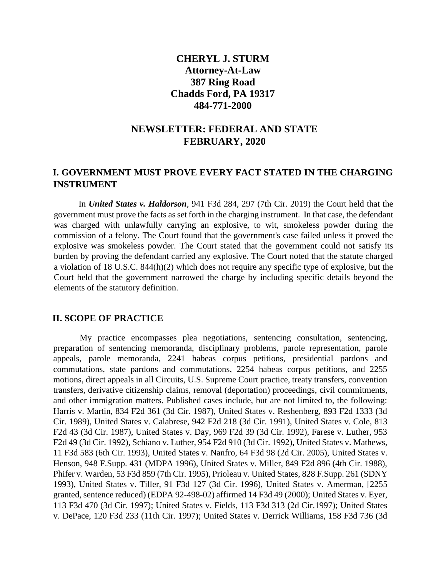## **CHERYL J. STURM Attorney-At-Law 387 Ring Road Chadds Ford, PA 19317 484-771-2000**

## **NEWSLETTER: FEDERAL AND STATE FEBRUARY, 2020**

## **I. GOVERNMENT MUST PROVE EVERY FACT STATED IN THE CHARGING INSTRUMENT**

In *United States v. Haldorson*, 941 F3d 284, 297 (7th Cir. 2019) the Court held that the government must prove the facts as set forth in the charging instrument. In that case, the defendant was charged with unlawfully carrying an explosive, to wit, smokeless powder during the commission of a felony. The Court found that the government's case failed unless it proved the explosive was smokeless powder. The Court stated that the government could not satisfy its burden by proving the defendant carried any explosive. The Court noted that the statute charged a violation of 18 U.S.C. 844(h)(2) which does not require any specific type of explosive, but the Court held that the government narrowed the charge by including specific details beyond the elements of the statutory definition.

## **II. SCOPE OF PRACTICE**

My practice encompasses plea negotiations, sentencing consultation, sentencing, preparation of sentencing memoranda, disciplinary problems, parole representation, parole appeals, parole memoranda, 2241 habeas corpus petitions, presidential pardons and commutations, state pardons and commutations, 2254 habeas corpus petitions, and 2255 motions, direct appeals in all Circuits, U.S. Supreme Court practice, treaty transfers, convention transfers, derivative citizenship claims, removal (deportation) proceedings, civil commitments, and other immigration matters. Published cases include, but are not limited to, the following: Harris v. Martin, 834 F2d 361 (3d Cir. 1987), United States v. Reshenberg, 893 F2d 1333 (3d Cir. 1989), United States v. Calabrese, 942 F2d 218 (3d Cir. 1991), United States v. Cole, 813 F2d 43 (3d Cir. 1987), United States v. Day, 969 F2d 39 (3d Cir. 1992), Farese v. Luther, 953 F2d 49 (3d Cir. 1992), Schiano v. Luther, 954 F2d 910 (3d Cir. 1992), United States v. Mathews, 11 F3d 583 (6th Cir. 1993), United States v. Nanfro, 64 F3d 98 (2d Cir. 2005), United States v. Henson, 948 F.Supp. 431 (MDPA 1996), United States v. Miller, 849 F2d 896 (4th Cir. 1988), Phifer v. Warden, 53 F3d 859 (7th Cir. 1995), Prioleau v. United States, 828 F.Supp. 261 (SDNY 1993), United States v. Tiller, 91 F3d 127 (3d Cir. 1996), United States v. Amerman, [2255 granted, sentence reduced) (EDPA 92-498-02) affirmed 14 F3d 49 (2000); United States v. Eyer, 113 F3d 470 (3d Cir. 1997); United States v. Fields, 113 F3d 313 (2d Cir.1997); United States v. DePace, 120 F3d 233 (11th Cir. 1997); United States v. Derrick Williams, 158 F3d 736 (3d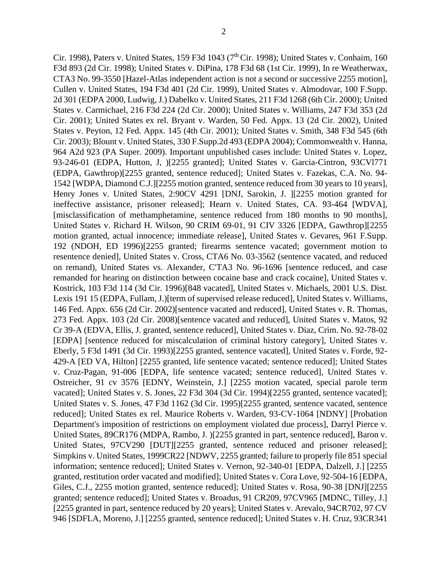Cir. 1998), Paters v. United States, 159 F3d 1043 (7<sup>th</sup> Cir. 1998); United States v. Conhaim, 160

F3d 893 (2d Cir. 1998); United States v. DiPina, 178 F3d 68 (1st Cir. 1999), In re Weatherwax, CTA3 No. 99-3550 [Hazel-Atlas independent action is not a second or successive 2255 motion], Cullen v. United States, 194 F3d 401 (2d Cir. 1999), United States v. Almodovar, 100 F.Supp. 2d 301 (EDPA 2000, Ludwig, J.) Dabelko v. United States, 211 F3d 1268 (6th Cir. 2000); United States v. Carmichael, 216 F3d 224 (2d Cir. 2000); United States v. Williams, 247 F3d 353 (2d Cir. 2001); United States ex rel. Bryant v. Warden, 50 Fed. Appx. 13 (2d Cir. 2002), United States v. Peyton, 12 Fed. Appx. 145 (4th Cir. 2001); United States v. Smith, 348 F3d 545 (6th Cir. 2003); Blount v. United States, 330 F.Supp.2d 493 (EDPA 2004); Commonwealth v. Hanna, 964 A2d 923 (PA Super. 2009). Important unpublished cases include: United States v. Lopez, 93-246-01 (EDPA, Hutton, J, )[2255 granted]; United States v. Garcia-Cintron, 93CVl771 (EDPA, Gawthrop)[2255 granted, sentence reduced]; United States v. Fazekas, C.A. No. 94- 1542 [WDPA, Diamond C.J.][2255 motion granted, sentence reduced from 30 years to 10 years], Henry Jones v. United States, 2:90CV 4291 [DNJ, Sarokin, J. ][2255 motion granted for ineffective assistance, prisoner released]; Hearn v. United States, CA. 93-464 [WDVA], [misclassification of methamphetamine, sentence reduced from 180 months to 90 months], United States v. Richard H. Wilson, 90 CRIM 69-01, 91 CIV 3326 [EDPA, Gawthrop][2255 motion granted, actual innocence; immediate release], United States v. Gevares, 961 F.Supp. 192 (NDOH, ED 1996)[2255 granted; firearms sentence vacated; government motion to resentence denied], United States v. Cross, CTA6 No. 03-3562 (sentence vacated, and reduced on remand), United States vs. Alexander, C'TA3 No. 96-1696 [sentence reduced, and case remanded for hearing on distinction between cocaine base and crack cocaine], United States v. Kostrick, 103 F3d 114 (3d Cir. 1996)[848 vacated], United States v. Michaels, 2001 U.S. Dist. Lexis 191 15 (EDPA, Fullam, J.)[term of supervised release reduced], United States v. Williams, 146 Fed. Appx. 656 (2d Cir. 2002)[sentence vacated and reduced], United States v. R. Thomas, 273 Fed. Appx. 103 (2d Cir. 2008)[sentence vacated and reduced], United States v. Matos, 92 Cr 39-A (EDVA, Ellis, J. granted, sentence reduced], United States v. Diaz, Crim. No. 92-78-02 [EDPA] [sentence reduced for miscalculation of criminal history category], United States v. Eberly, 5 F3d 1491 (3d Cir. 1993)[2255 granted, sentence vacated], United States v. Forde, 92- 429-A [ED VA, Hilton] [2255 granted, life sentence vacated; sentence reduced]; United States v. Cruz-Pagan, 91-006 [EDPA, life sentence vacated; sentence reduced], United States v. Ostreicher, 91 cv 3576 [EDNY, Weinstein, J.] [2255 motion vacated, special parole term vacated]; United States v. S. Jones, 22 F3d 304 (3d Cir. 1994)[2255 granted, sentence vacated]; United States v. S. Jones, 47 F3d 1162 (3d Cir. 1995)[2255 granted, sentence vacated, sentence reduced]; United States ex rel. Maurice Roberts v. Warden, 93-CV-1064 [NDNY] [Probation Department's imposition of restrictions on employment violated due process], Darryl Pierce v. United States, 89CR176 (MDPA, Rambo, J. )[2255 granted in part, sentence reduced], Baron v. United States, 97CV290 [DUT][2255 granted, sentence reduced and prisoner released]; Simpkins v. United States, 1999CR22 [NDWV, 2255 granted; failure to properly file 851 special information; sentence reduced]; United States v. Vernon, 92-340-01 [EDPA, Dalzell, J.] [2255 granted, restitution order vacated and modified]; United States v. Cora Love, 92-504-16 [EDPA, Giles, C.J., 2255 motion granted, sentence reduced]; United States v. Rosa, 90-38 [DNJ][2255 granted; sentence reduced]; United States v. Broadus, 91 CR209, 97CV965 [MDNC, Tilley, J.] [2255 granted in part, sentence reduced by 20 years]; United States v. Arevalo, 94CR702, 97 CV 946 [SDFLA, Moreno, J.] [2255 granted, sentence reduced]; United States v. H. Cruz, 93CR341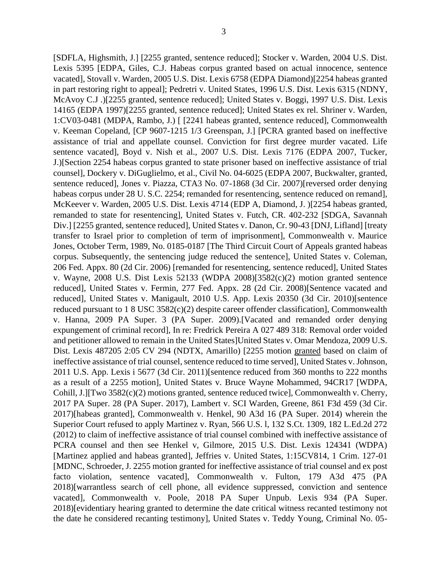[SDFLA, Highsmith, J.] [2255 granted, sentence reduced]; Stocker v. Warden, 2004 U.S. Dist. Lexis 5395 [EDPA, Giles, C.J. Habeas corpus granted based on actual innocence, sentence vacated], Stovall v. Warden, 2005 U.S. Dist. Lexis 6758 (EDPA Diamond)[2254 habeas granted in part restoring right to appeal]; Pedretri v. United States, 1996 U.S. Dist. Lexis 6315 (NDNY, McAvoy C.J .)[2255 granted, sentence reduced]; United States v. Boggi, 1997 U.S. Dist. Lexis 14165 (EDPA 1997)[2255 granted, sentence reduced]; United States ex rel. Shriner v. Warden, 1:CV03-0481 (MDPA, Rambo, J.) [ [2241 habeas granted, sentence reduced], Commonwealth v. Keeman Copeland, [CP 9607-1215 1/3 Greenspan, J.] [PCRA granted based on ineffective assistance of trial and appellate counsel. Conviction for first degree murder vacated. Life sentence vacated], Boyd v. Nish et al., 2007 U.S. Dist. Lexis 7176 (EDPA 2007, Tucker, J.)[Section 2254 habeas corpus granted to state prisoner based on ineffective assistance of trial counsel], Dockery v. DiGuglielmo, et al., Civil No. 04-6025 (EDPA 2007, Buckwalter, granted, sentence reduced], Jones v. Piazza, CTA3 No. 07-1868 (3d Cir. 2007)[reversed order denying habeas corpus under 28 U. S.C. 2254; remanded for resentencing, sentence reduced on remand], McKeever v. Warden, 2005 U.S. Dist. Lexis 4714 (EDP A, Diamond, J. )[2254 habeas granted, remanded to state for resentencing], United States v. Futch, CR. 402-232 [SDGA, Savannah Div.] [2255 granted, sentence reduced], United States v. Danon, Cr. 90-43 [DNJ, Lifland] [treaty transfer to Israel prior to completion of term of imprisonment], Commonwealth v. Maurice Jones, October Term, 1989, No. 0185-0187 [The Third Circuit Court of Appeals granted habeas corpus. Subsequently, the sentencing judge reduced the sentence], United States v. Coleman, 206 Fed. Appx. 80 (2d Cir. 2006) [remanded for resentencing, sentence reduced], United States v. Wayne, 2008 U.S. Dist Lexis 52133 (WDPA 2008)[3582(c)(2) motion granted sentence reduced], United States v. Fermin, 277 Fed. Appx. 28 (2d Cir. 2008)[Sentence vacated and reduced], United States v. Manigault, 2010 U.S. App. Lexis 20350 (3d Cir. 2010)[sentence reduced pursuant to 1 8 USC 3582(c)(2) despite career offender classification], Commonwealth v. Hanna, 2009 PA Super. 3 (PA Super. 2009).[Vacated and remanded order denying expungement of criminal record], In re: Fredrick Pereira A 027 489 318: Removal order voided and petitioner allowed to remain in the United States]United States v. Omar Mendoza, 2009 U.S. Dist. Lexis 487205 2:05 CV 294 (NDTX, Amarillo) [2255 motion granted based on claim of ineffective assistance of trial counsel, sentence reduced to time served], United States v. Johnson, 2011 U.S. App. Lexis i 5677 (3d Cir. 2011)[sentence reduced from 360 months to 222 months as a result of a 2255 motion], United States v. Bruce Wayne Mohammed, 94CR17 [WDPA, Cohill, J.][Two 3582(c)(2) motions granted, sentence reduced twice], Commonwealth v. Cherry, 2017 PA Super. 28 (PA Super. 2017), Lambert v. SCI Warden, Greene, 861 F3d 459 (3d Cir. 2017)[habeas granted], Commonwealth v. Henkel, 90 A3d 16 (PA Super. 2014) wherein the Superior Court refused to apply Martinez v. Ryan, 566 U.S. l, 132 S.Ct. 1309, 182 L.Ed.2d 272 (2012) to claim of ineffective assistance of trial counsel combined with ineffective assistance of PCRA counsel and then see Henkel v, Gilmore, 2015 U.S. Dist. Lexis 124341 (WDPA) [Martinez applied and habeas granted], Jeffries v. United States, 1:15CV814, 1 Crim. 127-01 [MDNC, Schroeder, J. 2255 motion granted for ineffective assistance of trial counsel and ex post facto violation, sentence vacated], Commonwealth v. Fulton, 179 A3d 475 (PA 2018)[warrantless search of cell phone, all evidence suppressed, conviction and sentence vacated], Commonwealth v. Poole, 2018 PA Super Unpub. Lexis 934 (PA Super. 2018)[evidentiary hearing granted to determine the date critical witness recanted testimony not the date he considered recanting testimony], United States v. Teddy Young, Criminal No. 05-